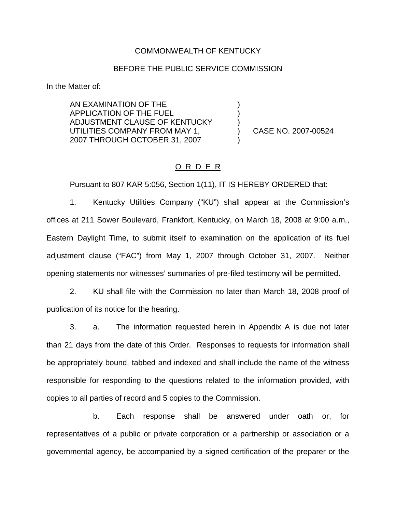## COMMONWEALTH OF KENTUCKY

## BEFORE THE PUBLIC SERVICE COMMISSION

) ) )

)

In the Matter of:

AN EXAMINATION OF THE APPLICATION OF THE FUEL ADJUSTMENT CLAUSE OF KENTUCKY UTILITIES COMPANY FROM MAY 1, 2007 THROUGH OCTOBER 31, 2007

) CASE NO. 2007-00524

# O R D E R

Pursuant to 807 KAR 5:056, Section 1(11), IT IS HEREBY ORDERED that:

1. Kentucky Utilities Company ("KU") shall appear at the Commission's offices at 211 Sower Boulevard, Frankfort, Kentucky, on March 18, 2008 at 9:00 a.m., Eastern Daylight Time, to submit itself to examination on the application of its fuel adjustment clause ("FAC") from May 1, 2007 through October 31, 2007. Neither opening statements nor witnesses' summaries of pre-filed testimony will be permitted.

2. KU shall file with the Commission no later than March 18, 2008 proof of publication of its notice for the hearing.

3. a. The information requested herein in Appendix A is due not later than 21 days from the date of this Order. Responses to requests for information shall be appropriately bound, tabbed and indexed and shall include the name of the witness responsible for responding to the questions related to the information provided, with copies to all parties of record and 5 copies to the Commission.

b. Each response shall be answered under oath or, for representatives of a public or private corporation or a partnership or association or a governmental agency, be accompanied by a signed certification of the preparer or the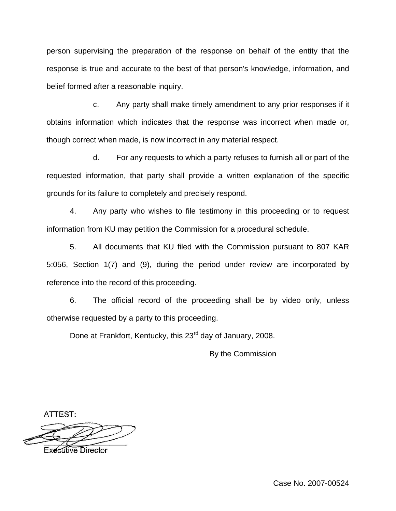person supervising the preparation of the response on behalf of the entity that the response is true and accurate to the best of that person's knowledge, information, and belief formed after a reasonable inquiry.

c. Any party shall make timely amendment to any prior responses if it obtains information which indicates that the response was incorrect when made or, though correct when made, is now incorrect in any material respect.

d. For any requests to which a party refuses to furnish all or part of the requested information, that party shall provide a written explanation of the specific grounds for its failure to completely and precisely respond.

4. Any party who wishes to file testimony in this proceeding or to request information from KU may petition the Commission for a procedural schedule.

5. All documents that KU filed with the Commission pursuant to 807 KAR 5:056, Section 1(7) and (9), during the period under review are incorporated by reference into the record of this proceeding.

6. The official record of the proceeding shall be by video only, unless otherwise requested by a party to this proceeding.

Done at Frankfort, Kentucky, this 23<sup>rd</sup> day of January, 2008.

By the Commission

ATTEST:

**Executive Director**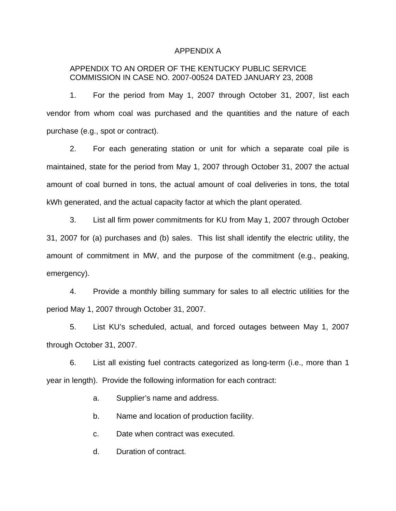#### APPENDIX A

## APPENDIX TO AN ORDER OF THE KENTUCKY PUBLIC SERVICE COMMISSION IN CASE NO. 2007-00524 DATED JANUARY 23, 2008

1. For the period from May 1, 2007 through October 31, 2007, list each vendor from whom coal was purchased and the quantities and the nature of each purchase (e.g., spot or contract).

2. For each generating station or unit for which a separate coal pile is maintained, state for the period from May 1, 2007 through October 31, 2007 the actual amount of coal burned in tons, the actual amount of coal deliveries in tons, the total kWh generated, and the actual capacity factor at which the plant operated.

3. List all firm power commitments for KU from May 1, 2007 through October 31, 2007 for (a) purchases and (b) sales. This list shall identify the electric utility, the amount of commitment in MW, and the purpose of the commitment (e.g., peaking, emergency).

4. Provide a monthly billing summary for sales to all electric utilities for the period May 1, 2007 through October 31, 2007.

5. List KU's scheduled, actual, and forced outages between May 1, 2007 through October 31, 2007.

6. List all existing fuel contracts categorized as long-term (i.e., more than 1 year in length). Provide the following information for each contract:

a. Supplier's name and address.

b. Name and location of production facility.

c. Date when contract was executed.

d. Duration of contract.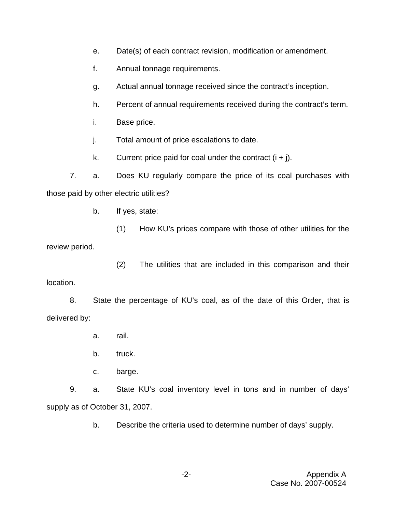- e. Date(s) of each contract revision, modification or amendment.
- f. Annual tonnage requirements.
- g. Actual annual tonnage received since the contract's inception.
- h. Percent of annual requirements received during the contract's term.
- i. Base price.
- j. Total amount of price escalations to date.
- k. Current price paid for coal under the contract  $(i + j)$ .

7. a. Does KU regularly compare the price of its coal purchases with those paid by other electric utilities?

b. If yes, state:

(1) How KU's prices compare with those of other utilities for the review period.

(2) The utilities that are included in this comparison and their location.

8. State the percentage of KU's coal, as of the date of this Order, that is delivered by:

- a. rail.
- b. truck.
- c. barge.

9. a. State KU's coal inventory level in tons and in number of days' supply as of October 31, 2007.

b. Describe the criteria used to determine number of days' supply.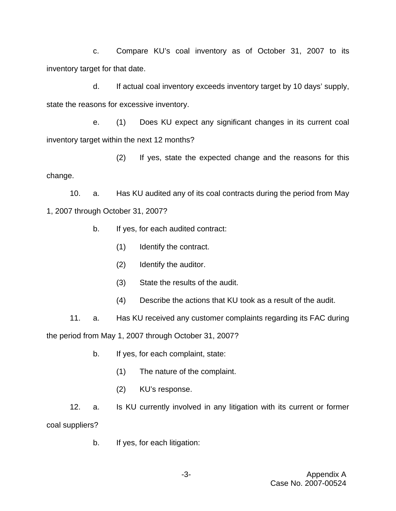c. Compare KU's coal inventory as of October 31, 2007 to its inventory target for that date.

d. If actual coal inventory exceeds inventory target by 10 days' supply, state the reasons for excessive inventory.

e. (1) Does KU expect any significant changes in its current coal inventory target within the next 12 months?

(2) If yes, state the expected change and the reasons for this change.

10. a. Has KU audited any of its coal contracts during the period from May 1, 2007 through October 31, 2007?

- b. If yes, for each audited contract:
	- (1) Identify the contract.
	- (2) Identify the auditor.
	- (3) State the results of the audit.
	- (4) Describe the actions that KU took as a result of the audit.

11. a. Has KU received any customer complaints regarding its FAC during the period from May 1, 2007 through October 31, 2007?

- b. If yes, for each complaint, state:
	- (1) The nature of the complaint.
	- (2) KU's response.

12. a. Is KU currently involved in any litigation with its current or former coal suppliers?

b. If yes, for each litigation: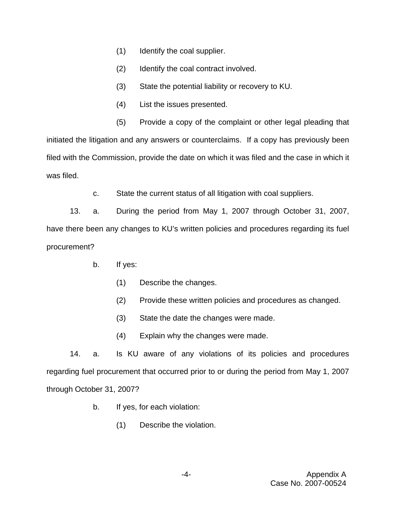- (1) Identify the coal supplier.
- (2) Identify the coal contract involved.
- (3) State the potential liability or recovery to KU.
- (4) List the issues presented.
- (5) Provide a copy of the complaint or other legal pleading that

initiated the litigation and any answers or counterclaims. If a copy has previously been filed with the Commission, provide the date on which it was filed and the case in which it was filed.

c. State the current status of all litigation with coal suppliers.

13. a. During the period from May 1, 2007 through October 31, 2007, have there been any changes to KU's written policies and procedures regarding its fuel procurement?

- b. If yes:
	- (1) Describe the changes.
	- (2) Provide these written policies and procedures as changed.
	- (3) State the date the changes were made.
	- (4) Explain why the changes were made.

14. a. Is KU aware of any violations of its policies and procedures regarding fuel procurement that occurred prior to or during the period from May 1, 2007 through October 31, 2007?

- b. If yes, for each violation:
	- (1) Describe the violation.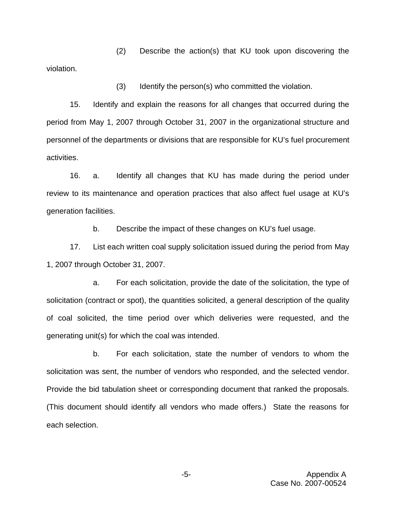(2) Describe the action(s) that KU took upon discovering the violation.

(3) Identify the person(s) who committed the violation.

15. Identify and explain the reasons for all changes that occurred during the period from May 1, 2007 through October 31, 2007 in the organizational structure and personnel of the departments or divisions that are responsible for KU's fuel procurement activities.

16. a. Identify all changes that KU has made during the period under review to its maintenance and operation practices that also affect fuel usage at KU's generation facilities.

b. Describe the impact of these changes on KU's fuel usage.

17. List each written coal supply solicitation issued during the period from May 1, 2007 through October 31, 2007.

a. For each solicitation, provide the date of the solicitation, the type of solicitation (contract or spot), the quantities solicited, a general description of the quality of coal solicited, the time period over which deliveries were requested, and the generating unit(s) for which the coal was intended.

b. For each solicitation, state the number of vendors to whom the solicitation was sent, the number of vendors who responded, and the selected vendor. Provide the bid tabulation sheet or corresponding document that ranked the proposals. (This document should identify all vendors who made offers.) State the reasons for each selection.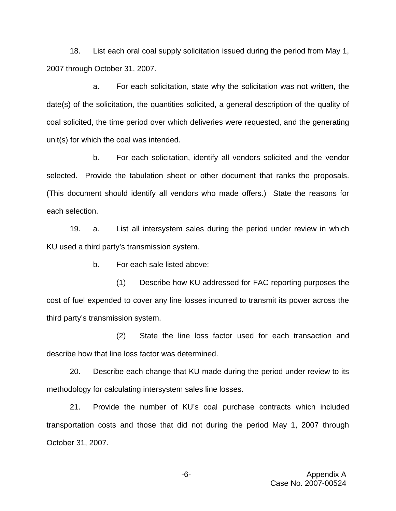18. List each oral coal supply solicitation issued during the period from May 1, 2007 through October 31, 2007.

a. For each solicitation, state why the solicitation was not written, the date(s) of the solicitation, the quantities solicited, a general description of the quality of coal solicited, the time period over which deliveries were requested, and the generating unit(s) for which the coal was intended.

b. For each solicitation, identify all vendors solicited and the vendor selected. Provide the tabulation sheet or other document that ranks the proposals. (This document should identify all vendors who made offers.) State the reasons for each selection.

19. a. List all intersystem sales during the period under review in which KU used a third party's transmission system.

b. For each sale listed above:

(1) Describe how KU addressed for FAC reporting purposes the cost of fuel expended to cover any line losses incurred to transmit its power across the third party's transmission system.

(2) State the line loss factor used for each transaction and describe how that line loss factor was determined.

20. Describe each change that KU made during the period under review to its methodology for calculating intersystem sales line losses.

21. Provide the number of KU's coal purchase contracts which included transportation costs and those that did not during the period May 1, 2007 through October 31, 2007.